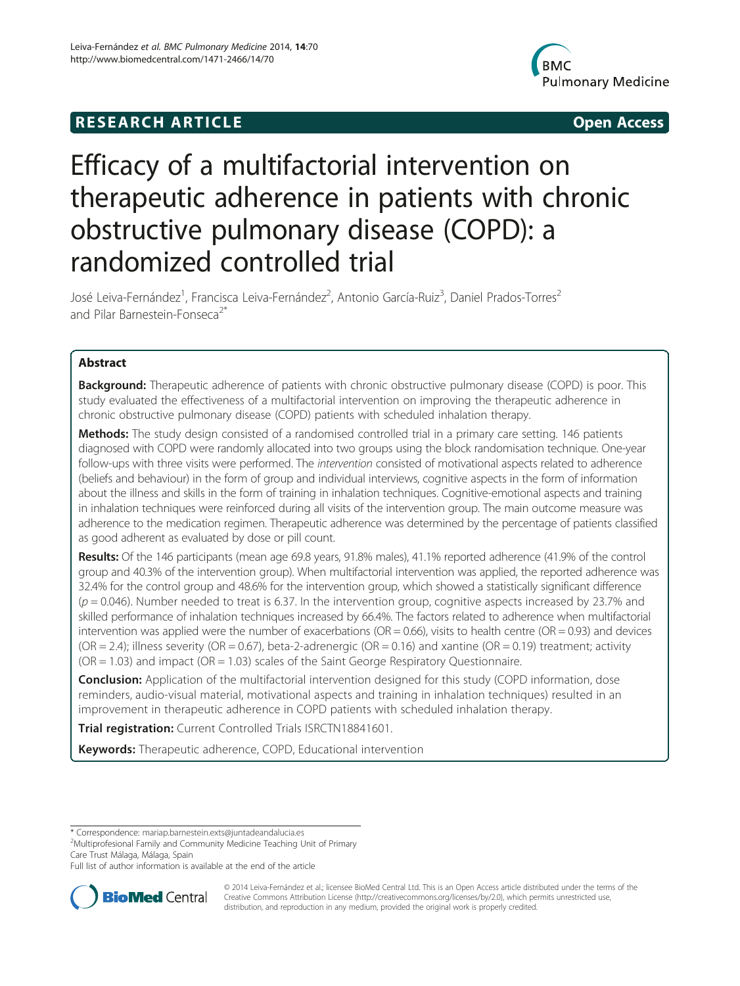## **RESEARCH ARTICLE Example 2014 The SEAR CH ACCESS**



# Efficacy of a multifactorial intervention on therapeutic adherence in patients with chronic obstructive pulmonary disease (COPD): a randomized controlled trial

José Leiva-Fernández<sup>1</sup>, Francisca Leiva-Fernández<sup>2</sup>, Antonio García-Ruiz<sup>3</sup>, Daniel Prados-Torres<sup>2</sup> and Pilar Barnestein-Fonseca<sup>2\*</sup>

## Abstract

Background: Therapeutic adherence of patients with chronic obstructive pulmonary disease (COPD) is poor. This study evaluated the effectiveness of a multifactorial intervention on improving the therapeutic adherence in chronic obstructive pulmonary disease (COPD) patients with scheduled inhalation therapy.

Methods: The study design consisted of a randomised controlled trial in a primary care setting. 146 patients diagnosed with COPD were randomly allocated into two groups using the block randomisation technique. One-year follow-ups with three visits were performed. The intervention consisted of motivational aspects related to adherence (beliefs and behaviour) in the form of group and individual interviews, cognitive aspects in the form of information about the illness and skills in the form of training in inhalation techniques. Cognitive-emotional aspects and training in inhalation techniques were reinforced during all visits of the intervention group. The main outcome measure was adherence to the medication regimen. Therapeutic adherence was determined by the percentage of patients classified as good adherent as evaluated by dose or pill count.

Results: Of the 146 participants (mean age 69.8 years, 91.8% males), 41.1% reported adherence (41.9% of the control group and 40.3% of the intervention group). When multifactorial intervention was applied, the reported adherence was 32.4% for the control group and 48.6% for the intervention group, which showed a statistically significant difference  $(p = 0.046)$ . Number needed to treat is 6.37. In the intervention group, cognitive aspects increased by 23.7% and skilled performance of inhalation techniques increased by 66.4%. The factors related to adherence when multifactorial intervention was applied were the number of exacerbations ( $OR = 0.66$ ), visits to health centre ( $OR = 0.93$ ) and devices  $(OR = 2.4)$ ; illness severity  $(OR = 0.67)$ , beta-2-adrenergic  $(OR = 0.16)$  and xantine  $(OR = 0.19)$  treatment; activity  $(OR = 1.03)$  and impact  $(OR = 1.03)$  scales of the Saint George Respiratory Questionnaire.

Conclusion: Application of the multifactorial intervention designed for this study (COPD information, dose reminders, audio-visual material, motivational aspects and training in inhalation techniques) resulted in an improvement in therapeutic adherence in COPD patients with scheduled inhalation therapy.

Trial registration: Current Controlled Trials [ISRCTN18841601](http://www.controlled-trials.com/ISRCTN18841601).

Keywords: Therapeutic adherence, COPD, Educational intervention

<sup>2</sup>Multiprofesional Family and Community Medicine Teaching Unit of Primary Care Trust Málaga, Málaga, Spain

Full list of author information is available at the end of the article



© 2014 Leiva-Fernández et al.; licensee BioMed Central Ltd. This is an Open Access article distributed under the terms of the Creative Commons Attribution License (<http://creativecommons.org/licenses/by/2.0>), which permits unrestricted use, distribution, and reproduction in any medium, provided the original work is properly credited.

<sup>\*</sup> Correspondence: [mariap.barnestein.exts@juntadeandalucia.es](mailto:mariap.barnestein.exts@juntadeandalucia.es) <sup>2</sup>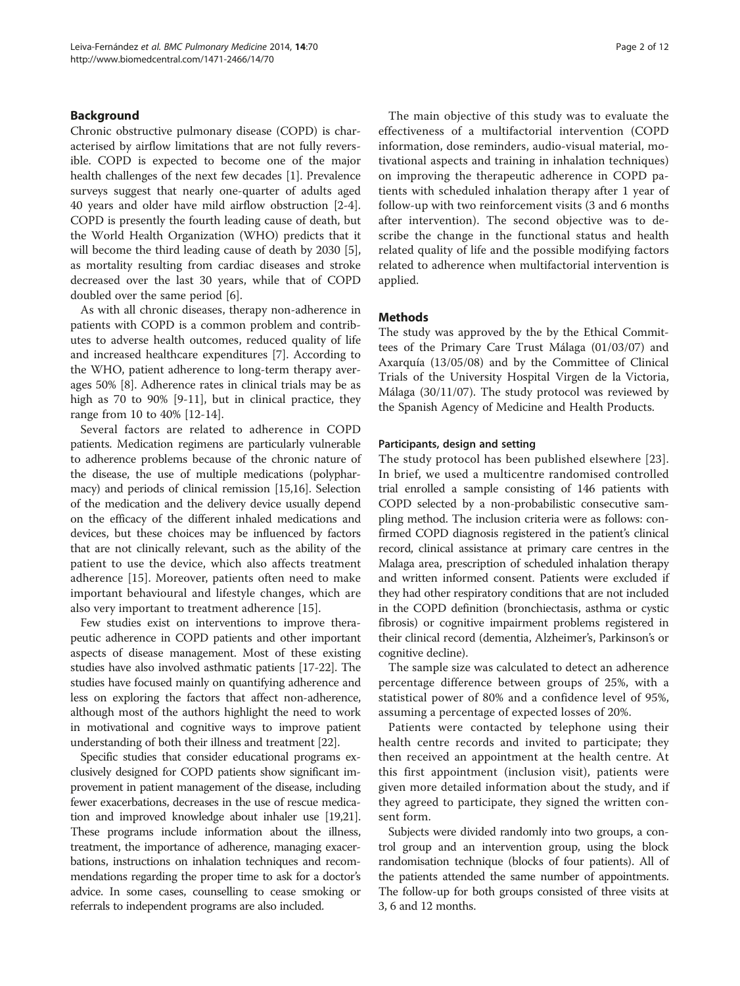## Background

Chronic obstructive pulmonary disease (COPD) is characterised by airflow limitations that are not fully reversible. COPD is expected to become one of the major health challenges of the next few decades [\[1](#page-10-0)]. Prevalence surveys suggest that nearly one-quarter of adults aged 40 years and older have mild airflow obstruction [[2-4](#page-10-0)]. COPD is presently the fourth leading cause of death, but the World Health Organization (WHO) predicts that it will become the third leading cause of death by 2030 [\[5](#page-10-0)], as mortality resulting from cardiac diseases and stroke decreased over the last 30 years, while that of COPD doubled over the same period [[6\]](#page-10-0).

As with all chronic diseases, therapy non-adherence in patients with COPD is a common problem and contributes to adverse health outcomes, reduced quality of life and increased healthcare expenditures [\[7](#page-10-0)]. According to the WHO, patient adherence to long-term therapy averages 50% [\[8\]](#page-10-0). Adherence rates in clinical trials may be as high as 70 to 90% [[9-11](#page-10-0)], but in clinical practice, they range from 10 to 40% [[12-14\]](#page-10-0).

Several factors are related to adherence in COPD patients. Medication regimens are particularly vulnerable to adherence problems because of the chronic nature of the disease, the use of multiple medications (polypharmacy) and periods of clinical remission [\[15,16](#page-10-0)]. Selection of the medication and the delivery device usually depend on the efficacy of the different inhaled medications and devices, but these choices may be influenced by factors that are not clinically relevant, such as the ability of the patient to use the device, which also affects treatment adherence [[15](#page-10-0)]. Moreover, patients often need to make important behavioural and lifestyle changes, which are also very important to treatment adherence [[15](#page-10-0)].

Few studies exist on interventions to improve therapeutic adherence in COPD patients and other important aspects of disease management. Most of these existing studies have also involved asthmatic patients [[17](#page-10-0)-[22](#page-10-0)]. The studies have focused mainly on quantifying adherence and less on exploring the factors that affect non-adherence, although most of the authors highlight the need to work in motivational and cognitive ways to improve patient understanding of both their illness and treatment [[22](#page-10-0)].

Specific studies that consider educational programs exclusively designed for COPD patients show significant improvement in patient management of the disease, including fewer exacerbations, decreases in the use of rescue medication and improved knowledge about inhaler use [[19,21](#page-10-0)]. These programs include information about the illness, treatment, the importance of adherence, managing exacerbations, instructions on inhalation techniques and recommendations regarding the proper time to ask for a doctor's advice. In some cases, counselling to cease smoking or referrals to independent programs are also included.

The main objective of this study was to evaluate the effectiveness of a multifactorial intervention (COPD information, dose reminders, audio-visual material, motivational aspects and training in inhalation techniques) on improving the therapeutic adherence in COPD patients with scheduled inhalation therapy after 1 year of follow-up with two reinforcement visits (3 and 6 months after intervention). The second objective was to describe the change in the functional status and health related quality of life and the possible modifying factors related to adherence when multifactorial intervention is applied.

## **Methods**

The study was approved by the by the Ethical Committees of the Primary Care Trust Málaga (01/03/07) and Axarquía (13/05/08) and by the Committee of Clinical Trials of the University Hospital Virgen de la Victoria, Málaga (30/11/07). The study protocol was reviewed by the Spanish Agency of Medicine and Health Products.

### Participants, design and setting

The study protocol has been published elsewhere [[23](#page-10-0)]. In brief, we used a multicentre randomised controlled trial enrolled a sample consisting of 146 patients with COPD selected by a non-probabilistic consecutive sampling method. The inclusion criteria were as follows: confirmed COPD diagnosis registered in the patient's clinical record, clinical assistance at primary care centres in the Malaga area, prescription of scheduled inhalation therapy and written informed consent. Patients were excluded if they had other respiratory conditions that are not included in the COPD definition (bronchiectasis, asthma or cystic fibrosis) or cognitive impairment problems registered in their clinical record (dementia, Alzheimer's, Parkinson's or cognitive decline).

The sample size was calculated to detect an adherence percentage difference between groups of 25%, with a statistical power of 80% and a confidence level of 95%, assuming a percentage of expected losses of 20%.

Patients were contacted by telephone using their health centre records and invited to participate; they then received an appointment at the health centre. At this first appointment (inclusion visit), patients were given more detailed information about the study, and if they agreed to participate, they signed the written consent form.

Subjects were divided randomly into two groups, a control group and an intervention group, using the block randomisation technique (blocks of four patients). All of the patients attended the same number of appointments. The follow-up for both groups consisted of three visits at 3, 6 and 12 months.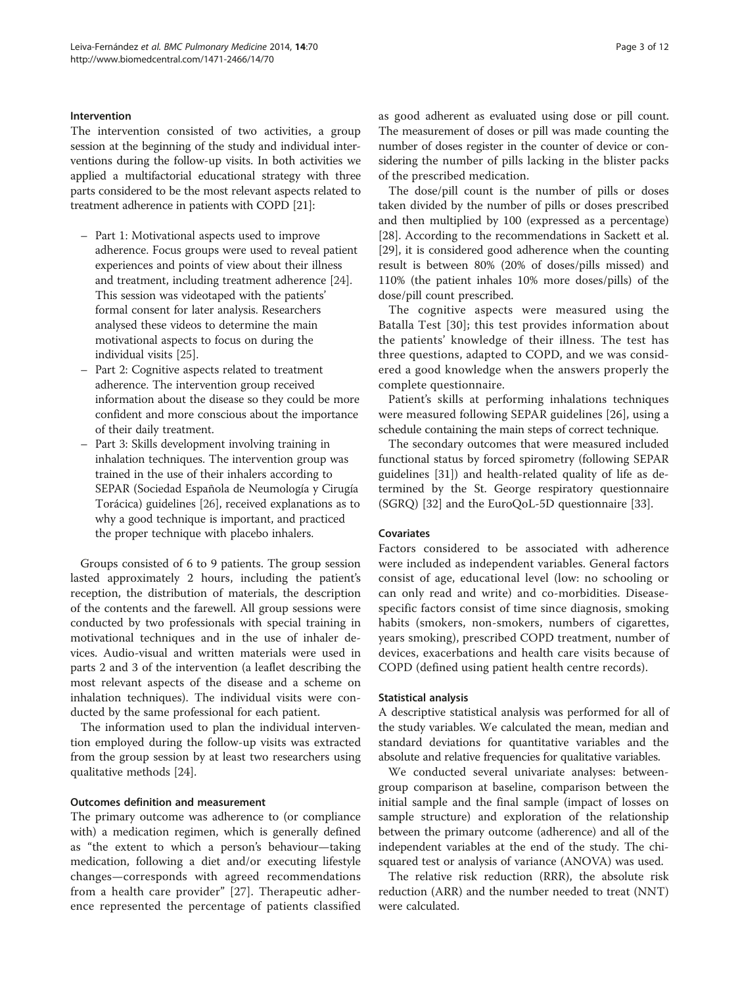## Intervention

The intervention consisted of two activities, a group session at the beginning of the study and individual interventions during the follow-up visits. In both activities we applied a multifactorial educational strategy with three parts considered to be the most relevant aspects related to treatment adherence in patients with COPD [[21](#page-10-0)]:

- Part 1: Motivational aspects used to improve adherence. Focus groups were used to reveal patient experiences and points of view about their illness and treatment, including treatment adherence [[24](#page-11-0)]. This session was videotaped with the patients' formal consent for later analysis. Researchers analysed these videos to determine the main motivational aspects to focus on during the individual visits [\[25\]](#page-11-0).
- Part 2: Cognitive aspects related to treatment adherence. The intervention group received information about the disease so they could be more confident and more conscious about the importance of their daily treatment.
- Part 3: Skills development involving training in inhalation techniques. The intervention group was trained in the use of their inhalers according to SEPAR (Sociedad Española de Neumología y Cirugía Torácica) guidelines [[26](#page-11-0)], received explanations as to why a good technique is important, and practiced the proper technique with placebo inhalers.

Groups consisted of 6 to 9 patients. The group session lasted approximately 2 hours, including the patient's reception, the distribution of materials, the description of the contents and the farewell. All group sessions were conducted by two professionals with special training in motivational techniques and in the use of inhaler devices. Audio-visual and written materials were used in parts 2 and 3 of the intervention (a leaflet describing the most relevant aspects of the disease and a scheme on inhalation techniques). The individual visits were conducted by the same professional for each patient.

The information used to plan the individual intervention employed during the follow-up visits was extracted from the group session by at least two researchers using qualitative methods [\[24\]](#page-11-0).

## Outcomes definition and measurement

The primary outcome was adherence to (or compliance with) a medication regimen, which is generally defined as "the extent to which a person's behaviour—taking medication, following a diet and/or executing lifestyle changes—corresponds with agreed recommendations from a health care provider" [[27\]](#page-11-0). Therapeutic adherence represented the percentage of patients classified

as good adherent as evaluated using dose or pill count. The measurement of doses or pill was made counting the number of doses register in the counter of device or considering the number of pills lacking in the blister packs of the prescribed medication.

The dose/pill count is the number of pills or doses taken divided by the number of pills or doses prescribed and then multiplied by 100 (expressed as a percentage) [[28\]](#page-11-0). According to the recommendations in Sackett et al. [[29\]](#page-11-0), it is considered good adherence when the counting result is between 80% (20% of doses/pills missed) and 110% (the patient inhales 10% more doses/pills) of the dose/pill count prescribed.

The cognitive aspects were measured using the Batalla Test [\[30\]](#page-11-0); this test provides information about the patients' knowledge of their illness. The test has three questions, adapted to COPD, and we was considered a good knowledge when the answers properly the complete questionnaire.

Patient's skills at performing inhalations techniques were measured following SEPAR guidelines [[26](#page-11-0)], using a schedule containing the main steps of correct technique.

The secondary outcomes that were measured included functional status by forced spirometry (following SEPAR guidelines [[31\]](#page-11-0)) and health-related quality of life as determined by the St. George respiratory questionnaire (SGRQ) [\[32\]](#page-11-0) and the EuroQoL-5D questionnaire [[33\]](#page-11-0).

## Covariates

Factors considered to be associated with adherence were included as independent variables. General factors consist of age, educational level (low: no schooling or can only read and write) and co-morbidities. Diseasespecific factors consist of time since diagnosis, smoking habits (smokers, non-smokers, numbers of cigarettes, years smoking), prescribed COPD treatment, number of devices, exacerbations and health care visits because of COPD (defined using patient health centre records).

#### Statistical analysis

A descriptive statistical analysis was performed for all of the study variables. We calculated the mean, median and standard deviations for quantitative variables and the absolute and relative frequencies for qualitative variables.

We conducted several univariate analyses: betweengroup comparison at baseline, comparison between the initial sample and the final sample (impact of losses on sample structure) and exploration of the relationship between the primary outcome (adherence) and all of the independent variables at the end of the study. The chisquared test or analysis of variance (ANOVA) was used.

The relative risk reduction (RRR), the absolute risk reduction (ARR) and the number needed to treat (NNT) were calculated.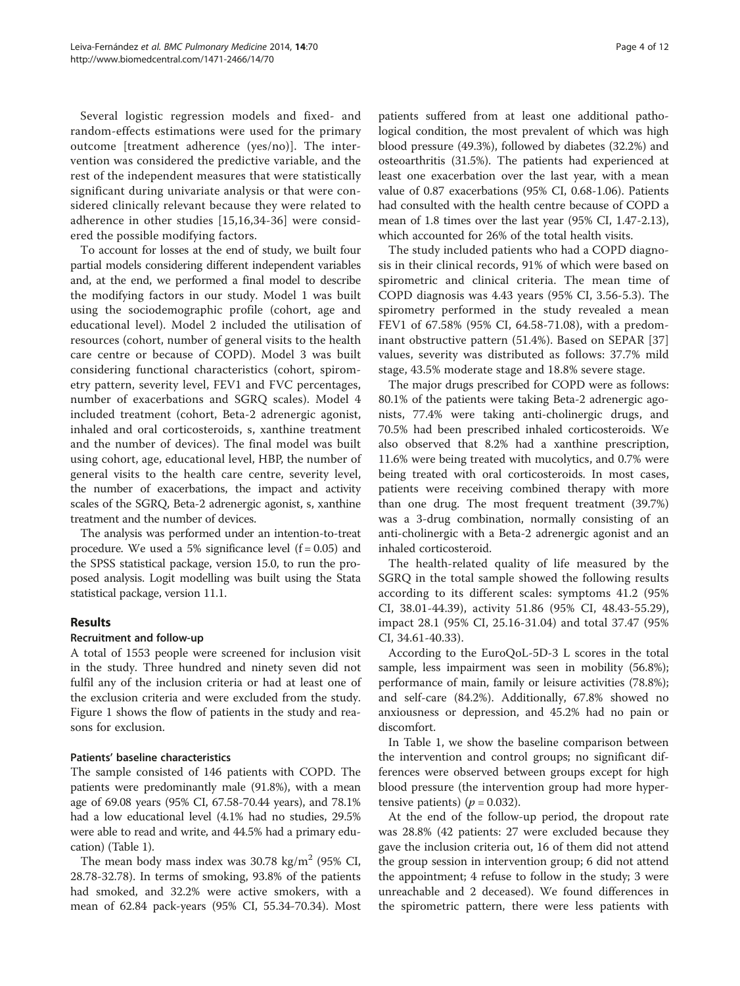Several logistic regression models and fixed- and random-effects estimations were used for the primary outcome [treatment adherence (yes/no)]. The intervention was considered the predictive variable, and the rest of the independent measures that were statistically significant during univariate analysis or that were considered clinically relevant because they were related to adherence in other studies [[15](#page-10-0),[16,](#page-10-0)[34](#page-11-0)-[36](#page-11-0)] were considered the possible modifying factors.

To account for losses at the end of study, we built four partial models considering different independent variables and, at the end, we performed a final model to describe the modifying factors in our study. Model 1 was built using the sociodemographic profile (cohort, age and educational level). Model 2 included the utilisation of resources (cohort, number of general visits to the health care centre or because of COPD). Model 3 was built considering functional characteristics (cohort, spirometry pattern, severity level, FEV1 and FVC percentages, number of exacerbations and SGRQ scales). Model 4 included treatment (cohort, Beta-2 adrenergic agonist, inhaled and oral corticosteroids, s, xanthine treatment and the number of devices). The final model was built using cohort, age, educational level, HBP, the number of general visits to the health care centre, severity level, the number of exacerbations, the impact and activity scales of the SGRQ, Beta-2 adrenergic agonist, s, xanthine treatment and the number of devices.

The analysis was performed under an intention-to-treat procedure. We used a 5% significance level  $(f = 0.05)$  and the SPSS statistical package, version 15.0, to run the proposed analysis. Logit modelling was built using the Stata statistical package, version 11.1.

## Results

### Recruitment and follow-up

A total of 1553 people were screened for inclusion visit in the study. Three hundred and ninety seven did not fulfil any of the inclusion criteria or had at least one of the exclusion criteria and were excluded from the study. Figure [1](#page-4-0) shows the flow of patients in the study and reasons for exclusion.

### Patients' baseline characteristics

The sample consisted of 146 patients with COPD. The patients were predominantly male (91.8%), with a mean age of 69.08 years (95% CI, 67.58-70.44 years), and 78.1% had a low educational level (4.1% had no studies, 29.5% were able to read and write, and 44.5% had a primary education) (Table [1](#page-5-0)).

The mean body mass index was  $30.78 \text{ kg/m}^2$  (95% CI, 28.78-32.78). In terms of smoking, 93.8% of the patients had smoked, and 32.2% were active smokers, with a mean of 62.84 pack-years (95% CI, 55.34-70.34). Most

patients suffered from at least one additional pathological condition, the most prevalent of which was high blood pressure (49.3%), followed by diabetes (32.2%) and osteoarthritis (31.5%). The patients had experienced at least one exacerbation over the last year, with a mean value of 0.87 exacerbations (95% CI, 0.68-1.06). Patients had consulted with the health centre because of COPD a mean of 1.8 times over the last year (95% CI, 1.47-2.13), which accounted for 26% of the total health visits.

The study included patients who had a COPD diagnosis in their clinical records, 91% of which were based on spirometric and clinical criteria. The mean time of COPD diagnosis was 4.43 years (95% CI, 3.56-5.3). The spirometry performed in the study revealed a mean FEV1 of 67.58% (95% CI, 64.58-71.08), with a predominant obstructive pattern (51.4%). Based on SEPAR [\[37](#page-11-0)] values, severity was distributed as follows: 37.7% mild stage, 43.5% moderate stage and 18.8% severe stage.

The major drugs prescribed for COPD were as follows: 80.1% of the patients were taking Beta-2 adrenergic agonists, 77.4% were taking anti-cholinergic drugs, and 70.5% had been prescribed inhaled corticosteroids. We also observed that 8.2% had a xanthine prescription, 11.6% were being treated with mucolytics, and 0.7% were being treated with oral corticosteroids. In most cases, patients were receiving combined therapy with more than one drug. The most frequent treatment (39.7%) was a 3-drug combination, normally consisting of an anti-cholinergic with a Beta-2 adrenergic agonist and an inhaled corticosteroid.

The health-related quality of life measured by the SGRQ in the total sample showed the following results according to its different scales: symptoms 41.2 (95% CI, 38.01-44.39), activity 51.86 (95% CI, 48.43-55.29), impact 28.1 (95% CI, 25.16-31.04) and total 37.47 (95% CI, 34.61-40.33).

According to the EuroQoL-5D-3 L scores in the total sample, less impairment was seen in mobility (56.8%); performance of main, family or leisure activities (78.8%); and self-care (84.2%). Additionally, 67.8% showed no anxiousness or depression, and 45.2% had no pain or discomfort.

In Table [1,](#page-5-0) we show the baseline comparison between the intervention and control groups; no significant differences were observed between groups except for high blood pressure (the intervention group had more hypertensive patients)  $(p = 0.032)$ .

At the end of the follow-up period, the dropout rate was 28.8% (42 patients: 27 were excluded because they gave the inclusion criteria out, 16 of them did not attend the group session in intervention group; 6 did not attend the appointment; 4 refuse to follow in the study; 3 were unreachable and 2 deceased). We found differences in the spirometric pattern, there were less patients with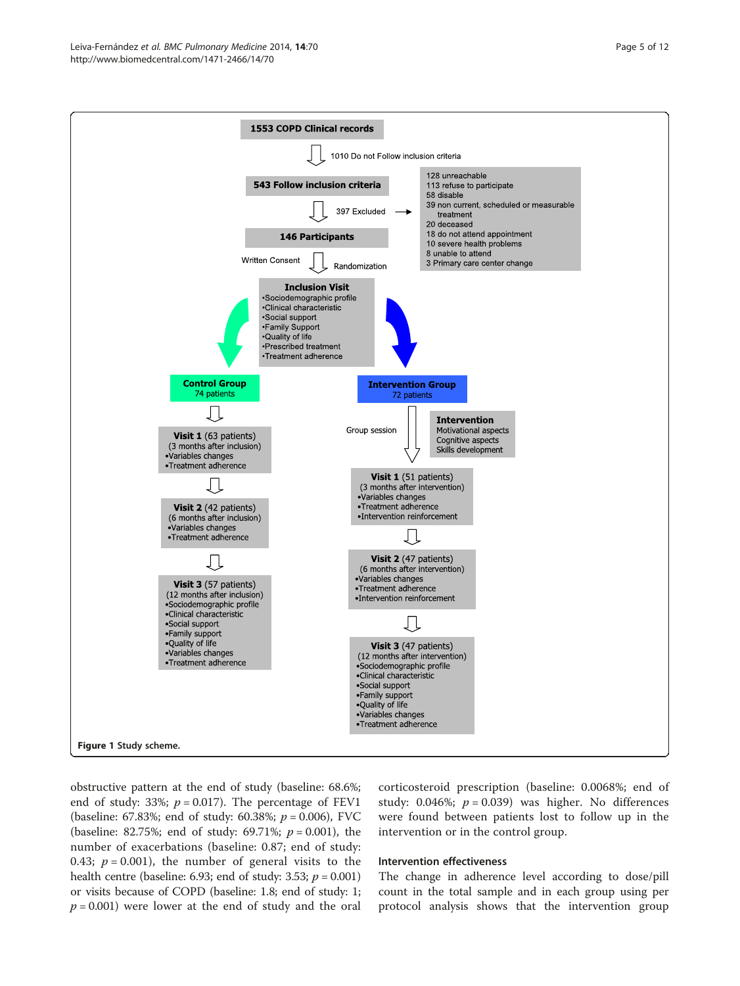<span id="page-4-0"></span>

obstructive pattern at the end of study (baseline: 68.6%; end of study: 33%;  $p = 0.017$ ). The percentage of FEV1 (baseline: 67.83%; end of study: 60.38%;  $p = 0.006$ ), FVC (baseline: 82.75%; end of study: 69.71%;  $p = 0.001$ ), the number of exacerbations (baseline: 0.87; end of study: 0.43;  $p = 0.001$ ), the number of general visits to the health centre (baseline: 6.93; end of study: 3.53;  $p = 0.001$ ) or visits because of COPD (baseline: 1.8; end of study: 1;  $p = 0.001$ ) were lower at the end of study and the oral

corticosteroid prescription (baseline: 0.0068%; end of study: 0.046%;  $p = 0.039$ ) was higher. No differences were found between patients lost to follow up in the intervention or in the control group.

### Intervention effectiveness

The change in adherence level according to dose/pill count in the total sample and in each group using per protocol analysis shows that the intervention group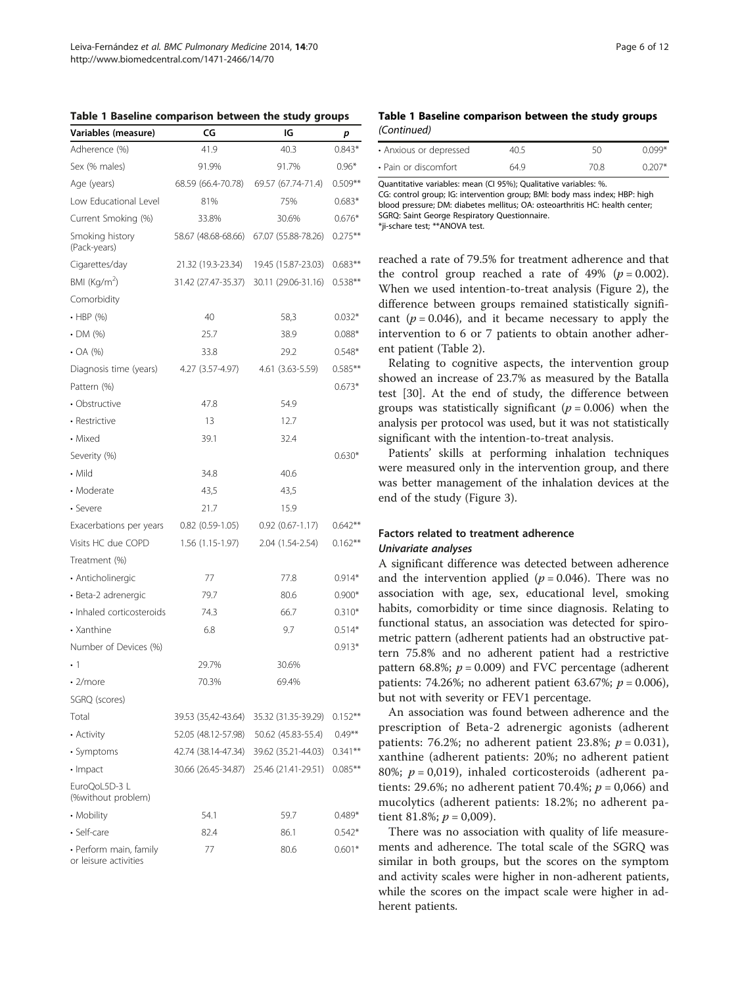<span id="page-5-0"></span>

|  |  | Table 1 Baseline comparison between the study groups |  |  |  |  |
|--|--|------------------------------------------------------|--|--|--|--|
|--|--|------------------------------------------------------|--|--|--|--|

| Variables (measure)                             | CG                  | IG                     | р          |
|-------------------------------------------------|---------------------|------------------------|------------|
| Adherence (%)                                   | 41.9                | 40.3                   | $0.843*$   |
| Sex (% males)                                   | 91.9%               | 91.7%                  | $0.96*$    |
| Age (years)                                     | 68.59 (66.4-70.78)  | 69.57 (67.74-71.4)     | $0.509**$  |
| Low Educational Level                           | 81%                 | 75%                    | $0.683*$   |
| Current Smoking (%)                             | 33.8%               | 30.6%                  | $0.676*$   |
| Smoking history<br>(Pack-years)                 | 58.67 (48.68-68.66) | 67.07 (55.88-78.26)    | $0.275***$ |
| Cigarettes/day                                  | 21.32 (19.3-23.34)  | 19.45 (15.87-23.03)    | $0.683**$  |
| BMI (Kg/m <sup>2</sup> )                        | 31.42 (27.47-35.37) | 30.11 (29.06-31.16)    | $0.538**$  |
| Comorbidity                                     |                     |                        |            |
| $\cdot$ HBP $(\%)$                              | 40                  | 58,3                   | $0.032*$   |
| $\cdot$ DM $(\%)$                               | 25.7                | 38.9                   | $0.088*$   |
| $\cdot$ OA $(\%)$                               | 33.8                | 29.2                   | $0.548*$   |
| Diagnosis time (years)                          | 4.27 (3.57-4.97)    | 4.61 (3.63-5.59)       | $0.585***$ |
| Pattern (%)                                     |                     |                        | $0.673*$   |
| • Obstructive                                   | 47.8                | 54.9                   |            |
| • Restrictive                                   | 13                  | 12.7                   |            |
| • Mixed                                         | 39.1                | 32.4                   |            |
| Severity (%)                                    |                     |                        | $0.630*$   |
| • Mild                                          | 34.8                | 40.6                   |            |
| • Moderate                                      | 43,5                | 43,5                   |            |
| • Severe                                        | 21.7                | 15.9                   |            |
| Exacerbations per years                         | $0.82(0.59-1.05)$   | $0.92$ $(0.67 - 1.17)$ | $0.642***$ |
| Visits HC due COPD                              | 1.56 (1.15-1.97)    | 2.04 (1.54-2.54)       | $0.162***$ |
| Treatment (%)                                   |                     |                        |            |
| · Anticholinergic                               | 77                  | 77.8                   | $0.914*$   |
| · Beta-2 adrenergic                             | 79.7                | 80.6                   | $0.900*$   |
| · Inhaled corticosteroids                       | 74.3                | 66.7                   | $0.310*$   |
| $\cdot$ Xanthine                                | 6.8                 | 9.7                    | $0.514*$   |
| Number of Devices (%)                           |                     |                        | $0.913*$   |
| $\cdot$ 1                                       | 29.7%               | 30.6%                  |            |
| $\cdot$ 2/more                                  | 70.3%               | 69.4%                  |            |
| SGRQ (scores)                                   |                     |                        |            |
| Total                                           | 39.53 (35,42-43.64) | 35.32 (31.35-39.29)    | $0.152***$ |
| • Activity                                      | 52.05 (48.12-57.98) | 50.62 (45.83-55.4)     | $0.49**$   |
| • Symptoms                                      | 42.74 (38.14-47.34) | 39.62 (35.21-44.03)    | $0.341**$  |
| · Impact                                        | 30.66 (26.45-34.87) | 25.46 (21.41-29.51)    | $0.085***$ |
| EuroQoL5D-3 L<br>(%without problem)             |                     |                        |            |
| • Mobility                                      | 54.1                | 59.7                   | $0.489*$   |
| · Self-care                                     | 82.4                | 86.1                   | $0.542*$   |
| • Perform main, family<br>or leisure activities | 77                  | 80.6                   | $0.601*$   |

#### Table 1 Baseline comparison between the study groups (Continued)

| • Anxious or depressed | 40.5 | 50   | $0.099*$ |
|------------------------|------|------|----------|
| • Pain or discomfort   | 64.9 | 70.8 | $0.207*$ |

Quantitative variables: mean (CI 95%); Qualitative variables: %. CG: control group; IG: intervention group; BMI: body mass index; HBP: high blood pressure; DM: diabetes mellitus; OA: osteoarthritis HC: health center; SGRQ: Saint George Respiratory Questionnaire. \*ji-schare test; \*\*ANOVA test.

reached a rate of 79.5% for treatment adherence and that the control group reached a rate of 49% ( $p = 0.002$ ). When we used intention-to-treat analysis (Figure [2\)](#page-6-0), the difference between groups remained statistically significant ( $p = 0.046$ ), and it became necessary to apply the intervention to 6 or 7 patients to obtain another adherent patient (Table [2](#page-6-0)).

Relating to cognitive aspects, the intervention group showed an increase of 23.7% as measured by the Batalla test [\[30](#page-11-0)]. At the end of study, the difference between groups was statistically significant ( $p = 0.006$ ) when the analysis per protocol was used, but it was not statistically significant with the intention-to-treat analysis.

Patients' skills at performing inhalation techniques were measured only in the intervention group, and there was better management of the inhalation devices at the end of the study (Figure [3](#page-7-0)).

## Factors related to treatment adherence Univariate analyses

A significant difference was detected between adherence and the intervention applied ( $p = 0.046$ ). There was no association with age, sex, educational level, smoking habits, comorbidity or time since diagnosis. Relating to functional status, an association was detected for spirometric pattern (adherent patients had an obstructive pattern 75.8% and no adherent patient had a restrictive pattern 68.8%;  $p = 0.009$ ) and FVC percentage (adherent patients: 74.26%; no adherent patient 63.67%;  $p = 0.006$ ), but not with severity or FEV1 percentage.

An association was found between adherence and the prescription of Beta-2 adrenergic agonists (adherent patients: 76.2%; no adherent patient 23.8%;  $p = 0.031$ ), xanthine (adherent patients: 20%; no adherent patient 80%;  $p = 0.019$ ), inhaled corticosteroids (adherent patients: 29.6%; no adherent patient 70.4%;  $p = 0.066$ ) and mucolytics (adherent patients: 18.2%; no adherent patient 81.8%;  $p = 0,009$ ).

There was no association with quality of life measurements and adherence. The total scale of the SGRQ was similar in both groups, but the scores on the symptom and activity scales were higher in non-adherent patients, while the scores on the impact scale were higher in adherent patients.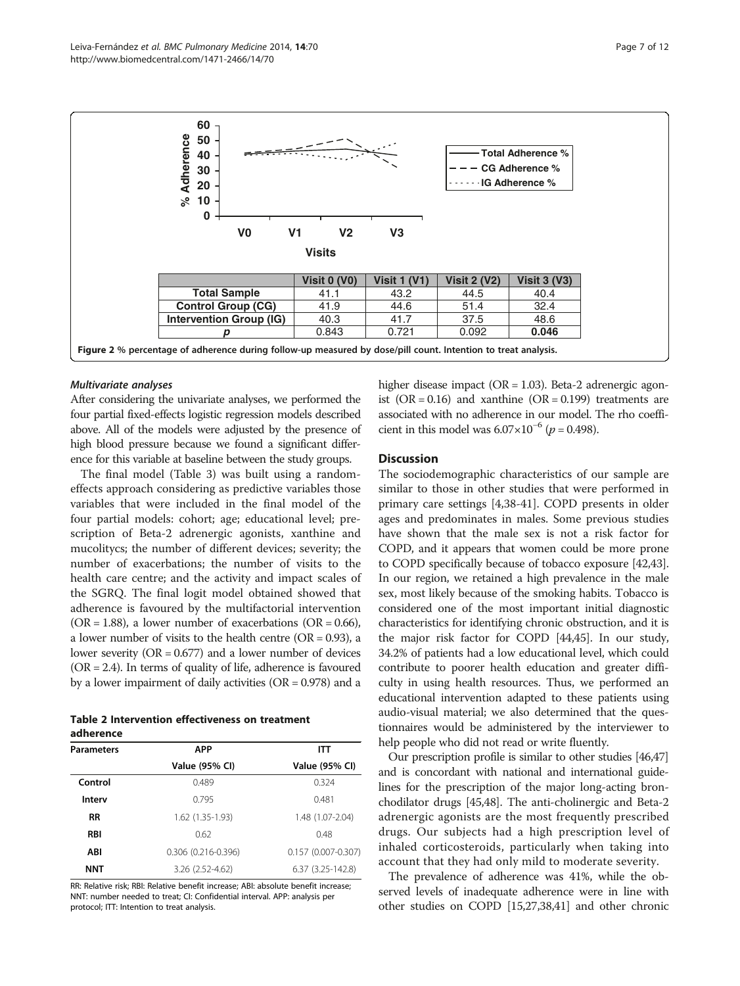<span id="page-6-0"></span>

## Multivariate analyses

After considering the univariate analyses, we performed the four partial fixed-effects logistic regression models described above. All of the models were adjusted by the presence of high blood pressure because we found a significant difference for this variable at baseline between the study groups.

The final model (Table [3](#page-7-0)) was built using a randomeffects approach considering as predictive variables those variables that were included in the final model of the four partial models: cohort; age; educational level; prescription of Beta-2 adrenergic agonists, xanthine and mucolitycs; the number of different devices; severity; the number of exacerbations; the number of visits to the health care centre; and the activity and impact scales of the SGRQ. The final logit model obtained showed that adherence is favoured by the multifactorial intervention  $(OR = 1.88)$ , a lower number of exacerbations  $(OR = 0.66)$ , a lower number of visits to the health centre  $(OR = 0.93)$ , a lower severity  $(OR = 0.677)$  and a lower number of devices  $(OR = 2.4)$ . In terms of quality of life, adherence is favoured by a lower impairment of daily activities  $(OR = 0.978)$  and a

Table 2 Intervention effectiveness on treatment adherence

| <b>Parameters</b> | <b>APP</b>          | ITT                   |  |  |
|-------------------|---------------------|-----------------------|--|--|
|                   | Value (95% CI)      | Value (95% CI)        |  |  |
| Control           | 0.489               | 0.324                 |  |  |
| Interv            | 0.795               | 0481                  |  |  |
| <b>RR</b>         | 1.62 (1.35-1.93)    | 1.48 (1.07-2.04)      |  |  |
| <b>RBI</b>        | 0.62                | 0.48                  |  |  |
| ABI               | 0.306 (0.216-0.396) | $0.157$ (0.007-0.307) |  |  |
| NNT               | 3.26 (2.52-4.62)    | $6.37(3.25-142.8)$    |  |  |

RR: Relative risk; RBI: Relative benefit increase; ABI: absolute benefit increase; NNT: number needed to treat; CI: Confidential interval. APP: analysis per protocol; ITT: Intention to treat analysis.

higher disease impact (OR = 1.03). Beta-2 adrenergic agonist  $(OR = 0.16)$  and xanthine  $(OR = 0.199)$  treatments are associated with no adherence in our model. The rho coefficient in this model was  $6.07 \times 10^{-6}$  ( $p = 0.498$ ).

#### **Discussion**

The sociodemographic characteristics of our sample are similar to those in other studies that were performed in primary care settings [[4,](#page-10-0)[38-41\]](#page-11-0). COPD presents in older ages and predominates in males. Some previous studies have shown that the male sex is not a risk factor for COPD, and it appears that women could be more prone to COPD specifically because of tobacco exposure [\[42,43](#page-11-0)]. In our region, we retained a high prevalence in the male sex, most likely because of the smoking habits. Tobacco is considered one of the most important initial diagnostic characteristics for identifying chronic obstruction, and it is the major risk factor for COPD [[44,45\]](#page-11-0). In our study, 34.2% of patients had a low educational level, which could contribute to poorer health education and greater difficulty in using health resources. Thus, we performed an educational intervention adapted to these patients using audio-visual material; we also determined that the questionnaires would be administered by the interviewer to help people who did not read or write fluently.

Our prescription profile is similar to other studies [[46,47](#page-11-0)] and is concordant with national and international guidelines for the prescription of the major long-acting bronchodilator drugs [\[45,48](#page-11-0)]. The anti-cholinergic and Beta-2 adrenergic agonists are the most frequently prescribed drugs. Our subjects had a high prescription level of inhaled corticosteroids, particularly when taking into account that they had only mild to moderate severity.

The prevalence of adherence was 41%, while the observed levels of inadequate adherence were in line with other studies on COPD [\[15,](#page-10-0)[27,38,41\]](#page-11-0) and other chronic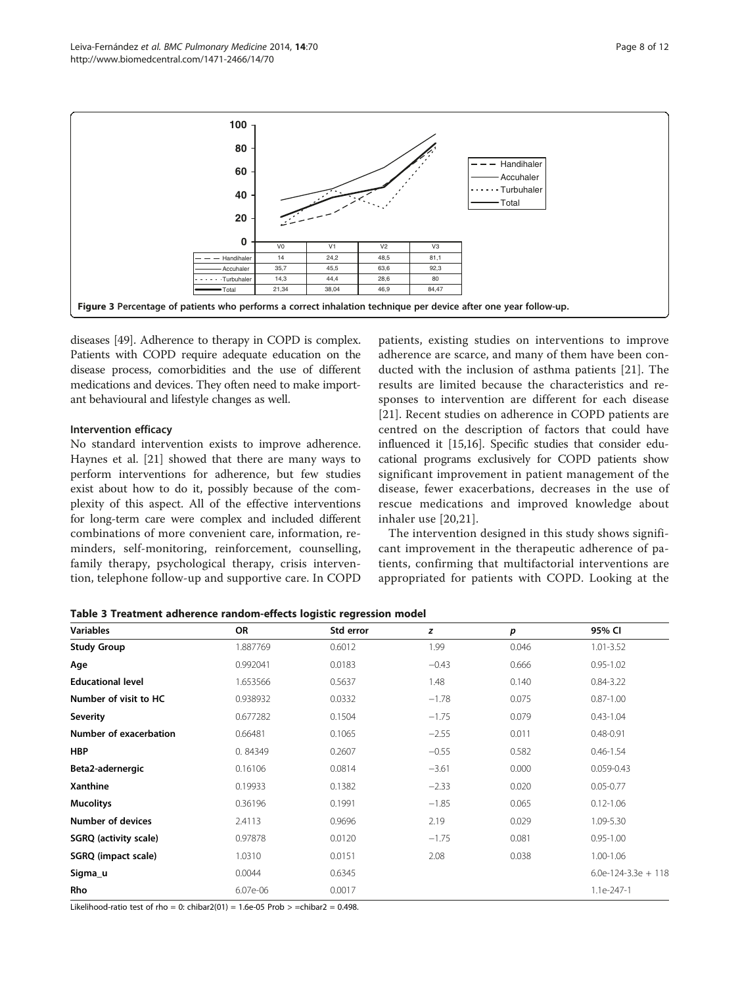<span id="page-7-0"></span>

diseases [[49](#page-11-0)]. Adherence to therapy in COPD is complex. Patients with COPD require adequate education on the disease process, comorbidities and the use of different medications and devices. They often need to make important behavioural and lifestyle changes as well.

## Intervention efficacy

No standard intervention exists to improve adherence. Haynes et al. [[21\]](#page-10-0) showed that there are many ways to perform interventions for adherence, but few studies exist about how to do it, possibly because of the complexity of this aspect. All of the effective interventions for long-term care were complex and included different combinations of more convenient care, information, reminders, self-monitoring, reinforcement, counselling, family therapy, psychological therapy, crisis intervention, telephone follow-up and supportive care. In COPD

patients, existing studies on interventions to improve adherence are scarce, and many of them have been conducted with the inclusion of asthma patients [[21](#page-10-0)]. The results are limited because the characteristics and responses to intervention are different for each disease [[21\]](#page-10-0). Recent studies on adherence in COPD patients are centred on the description of factors that could have influenced it [[15](#page-10-0),[16](#page-10-0)]. Specific studies that consider educational programs exclusively for COPD patients show significant improvement in patient management of the disease, fewer exacerbations, decreases in the use of rescue medications and improved knowledge about inhaler use [[20](#page-10-0),[21\]](#page-10-0).

The intervention designed in this study shows significant improvement in the therapeutic adherence of patients, confirming that multifactorial interventions are appropriated for patients with COPD. Looking at the

Table 3 Treatment adherence random-effects logistic regression model

| <b>Variables</b>         | <b>OR</b> | Std error | z       | p     | 95% CI                |
|--------------------------|-----------|-----------|---------|-------|-----------------------|
| <b>Study Group</b>       | 1.887769  | 0.6012    | 1.99    | 0.046 | $1.01 - 3.52$         |
| Age                      | 0.992041  | 0.0183    | $-0.43$ | 0.666 | $0.95 - 1.02$         |
| <b>Educational level</b> | 1.653566  | 0.5637    | 1.48    | 0.140 | $0.84 - 3.22$         |
| Number of visit to HC    | 0.938932  | 0.0332    | $-1.78$ | 0.075 | $0.87 - 1.00$         |
| <b>Severity</b>          | 0.677282  | 0.1504    | $-1.75$ | 0.079 | $0.43 - 1.04$         |
| Number of exacerbation   | 0.66481   | 0.1065    | $-2.55$ | 0.011 | $0.48 - 0.91$         |
| <b>HBP</b>               | 0.84349   | 0.2607    | $-0.55$ | 0.582 | $0.46 - 1.54$         |
| Beta2-adernergic         | 0.16106   | 0.0814    | $-3.61$ | 0.000 | 0.059-0.43            |
| Xanthine                 | 0.19933   | 0.1382    | $-2.33$ | 0.020 | $0.05 - 0.77$         |
| <b>Mucolitys</b>         | 0.36196   | 0.1991    | $-1.85$ | 0.065 | $0.12 - 1.06$         |
| <b>Number of devices</b> | 2.4113    | 0.9696    | 2.19    | 0.029 | 1.09-5.30             |
| SGRQ (activity scale)    | 0.97878   | 0.0120    | $-1.75$ | 0.081 | $0.95 - 1.00$         |
| SGRQ (impact scale)      | 1.0310    | 0.0151    | 2.08    | 0.038 | 1.00-1.06             |
| Sigma_u                  | 0.0044    | 0.6345    |         |       | $6.0e-124-3.3e + 118$ |
| Rho                      | 6.07e-06  | 0.0017    |         |       | 1.1e-247-1            |

Likelihood-ratio test of rho = 0: chibar2(01) = 1.6e-05 Prob > =chibar2 = 0.498.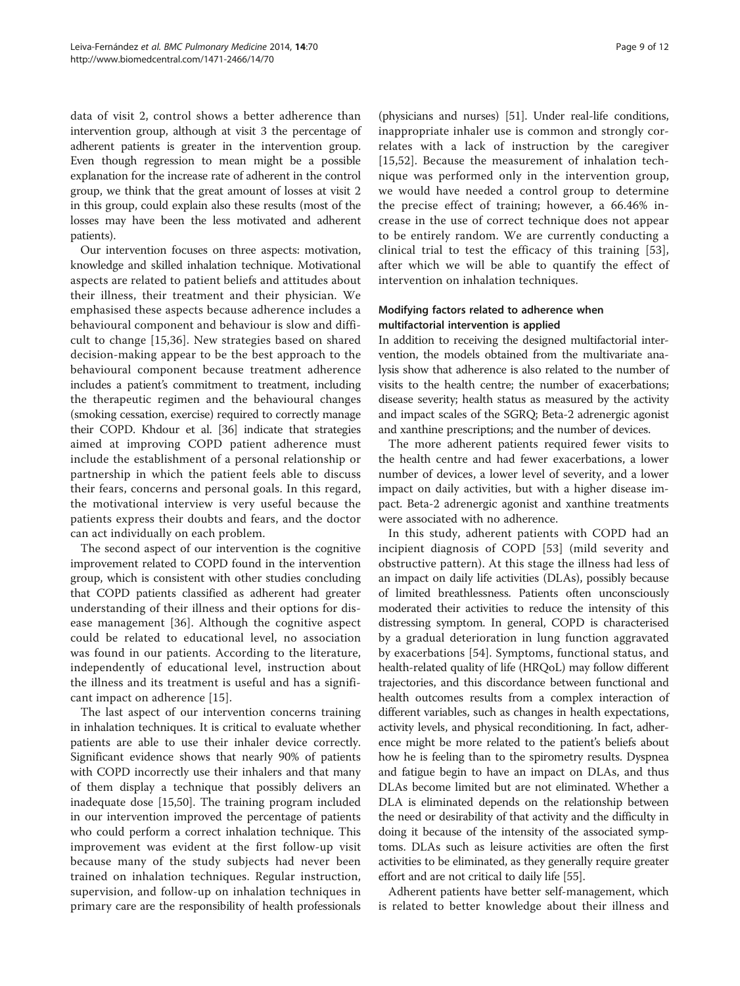data of visit 2, control shows a better adherence than intervention group, although at visit 3 the percentage of adherent patients is greater in the intervention group. Even though regression to mean might be a possible explanation for the increase rate of adherent in the control group, we think that the great amount of losses at visit 2 in this group, could explain also these results (most of the losses may have been the less motivated and adherent patients).

Our intervention focuses on three aspects: motivation, knowledge and skilled inhalation technique. Motivational aspects are related to patient beliefs and attitudes about their illness, their treatment and their physician. We emphasised these aspects because adherence includes a behavioural component and behaviour is slow and difficult to change [\[15,](#page-10-0)[36\]](#page-11-0). New strategies based on shared decision-making appear to be the best approach to the behavioural component because treatment adherence includes a patient's commitment to treatment, including the therapeutic regimen and the behavioural changes (smoking cessation, exercise) required to correctly manage their COPD. Khdour et al. [[36](#page-11-0)] indicate that strategies aimed at improving COPD patient adherence must include the establishment of a personal relationship or partnership in which the patient feels able to discuss their fears, concerns and personal goals. In this regard, the motivational interview is very useful because the patients express their doubts and fears, and the doctor can act individually on each problem.

The second aspect of our intervention is the cognitive improvement related to COPD found in the intervention group, which is consistent with other studies concluding that COPD patients classified as adherent had greater understanding of their illness and their options for disease management [\[36](#page-11-0)]. Although the cognitive aspect could be related to educational level, no association was found in our patients. According to the literature, independently of educational level, instruction about the illness and its treatment is useful and has a significant impact on adherence [\[15](#page-10-0)].

The last aspect of our intervention concerns training in inhalation techniques. It is critical to evaluate whether patients are able to use their inhaler device correctly. Significant evidence shows that nearly 90% of patients with COPD incorrectly use their inhalers and that many of them display a technique that possibly delivers an inadequate dose [\[15](#page-10-0)[,50](#page-11-0)]. The training program included in our intervention improved the percentage of patients who could perform a correct inhalation technique. This improvement was evident at the first follow-up visit because many of the study subjects had never been trained on inhalation techniques. Regular instruction, supervision, and follow-up on inhalation techniques in primary care are the responsibility of health professionals

(physicians and nurses) [[51](#page-11-0)]. Under real-life conditions, inappropriate inhaler use is common and strongly correlates with a lack of instruction by the caregiver [[15](#page-10-0)[,52\]](#page-11-0). Because the measurement of inhalation technique was performed only in the intervention group, we would have needed a control group to determine the precise effect of training; however, a 66.46% increase in the use of correct technique does not appear to be entirely random. We are currently conducting a clinical trial to test the efficacy of this training [[53](#page-11-0)], after which we will be able to quantify the effect of intervention on inhalation techniques.

## Modifying factors related to adherence when multifactorial intervention is applied

In addition to receiving the designed multifactorial intervention, the models obtained from the multivariate analysis show that adherence is also related to the number of visits to the health centre; the number of exacerbations; disease severity; health status as measured by the activity and impact scales of the SGRQ; Beta-2 adrenergic agonist and xanthine prescriptions; and the number of devices.

The more adherent patients required fewer visits to the health centre and had fewer exacerbations, a lower number of devices, a lower level of severity, and a lower impact on daily activities, but with a higher disease impact. Beta-2 adrenergic agonist and xanthine treatments were associated with no adherence.

In this study, adherent patients with COPD had an incipient diagnosis of COPD [[53](#page-11-0)] (mild severity and obstructive pattern). At this stage the illness had less of an impact on daily life activities (DLAs), possibly because of limited breathlessness. Patients often unconsciously moderated their activities to reduce the intensity of this distressing symptom. In general, COPD is characterised by a gradual deterioration in lung function aggravated by exacerbations [[54\]](#page-11-0). Symptoms, functional status, and health-related quality of life (HRQoL) may follow different trajectories, and this discordance between functional and health outcomes results from a complex interaction of different variables, such as changes in health expectations, activity levels, and physical reconditioning. In fact, adherence might be more related to the patient's beliefs about how he is feeling than to the spirometry results. Dyspnea and fatigue begin to have an impact on DLAs, and thus DLAs become limited but are not eliminated. Whether a DLA is eliminated depends on the relationship between the need or desirability of that activity and the difficulty in doing it because of the intensity of the associated symptoms. DLAs such as leisure activities are often the first activities to be eliminated, as they generally require greater effort and are not critical to daily life [\[55\]](#page-11-0).

Adherent patients have better self-management, which is related to better knowledge about their illness and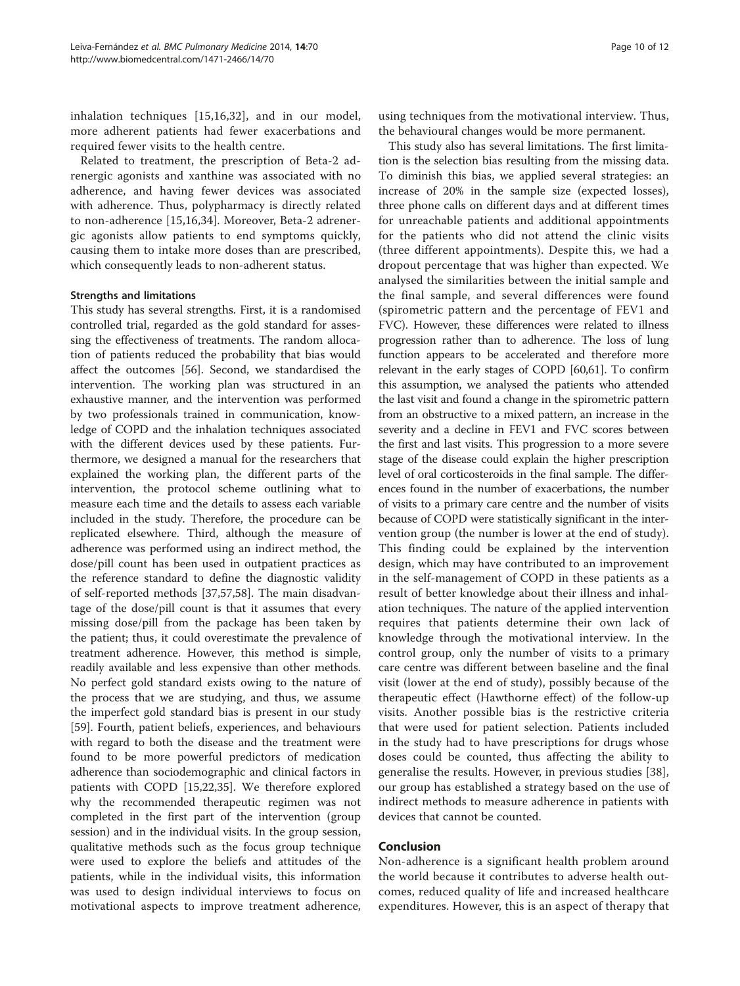inhalation techniques [[15,16](#page-10-0),[32\]](#page-11-0), and in our model, more adherent patients had fewer exacerbations and required fewer visits to the health centre.

Related to treatment, the prescription of Beta-2 adrenergic agonists and xanthine was associated with no adherence, and having fewer devices was associated with adherence. Thus, polypharmacy is directly related to non-adherence [[15,16](#page-10-0)[,34](#page-11-0)]. Moreover, Beta-2 adrenergic agonists allow patients to end symptoms quickly, causing them to intake more doses than are prescribed, which consequently leads to non-adherent status.

## Strengths and limitations

This study has several strengths. First, it is a randomised controlled trial, regarded as the gold standard for assessing the effectiveness of treatments. The random allocation of patients reduced the probability that bias would affect the outcomes [[56\]](#page-11-0). Second, we standardised the intervention. The working plan was structured in an exhaustive manner, and the intervention was performed by two professionals trained in communication, knowledge of COPD and the inhalation techniques associated with the different devices used by these patients. Furthermore, we designed a manual for the researchers that explained the working plan, the different parts of the intervention, the protocol scheme outlining what to measure each time and the details to assess each variable included in the study. Therefore, the procedure can be replicated elsewhere. Third, although the measure of adherence was performed using an indirect method, the dose/pill count has been used in outpatient practices as the reference standard to define the diagnostic validity of self-reported methods [\[37,57,58](#page-11-0)]. The main disadvantage of the dose/pill count is that it assumes that every missing dose/pill from the package has been taken by the patient; thus, it could overestimate the prevalence of treatment adherence. However, this method is simple, readily available and less expensive than other methods. No perfect gold standard exists owing to the nature of the process that we are studying, and thus, we assume the imperfect gold standard bias is present in our study [[59\]](#page-11-0). Fourth, patient beliefs, experiences, and behaviours with regard to both the disease and the treatment were found to be more powerful predictors of medication adherence than sociodemographic and clinical factors in patients with COPD [[15,22,](#page-10-0)[35\]](#page-11-0). We therefore explored why the recommended therapeutic regimen was not completed in the first part of the intervention (group session) and in the individual visits. In the group session, qualitative methods such as the focus group technique were used to explore the beliefs and attitudes of the patients, while in the individual visits, this information was used to design individual interviews to focus on motivational aspects to improve treatment adherence,

using techniques from the motivational interview. Thus, the behavioural changes would be more permanent.

This study also has several limitations. The first limitation is the selection bias resulting from the missing data. To diminish this bias, we applied several strategies: an increase of 20% in the sample size (expected losses), three phone calls on different days and at different times for unreachable patients and additional appointments for the patients who did not attend the clinic visits (three different appointments). Despite this, we had a dropout percentage that was higher than expected. We analysed the similarities between the initial sample and the final sample, and several differences were found (spirometric pattern and the percentage of FEV1 and FVC). However, these differences were related to illness progression rather than to adherence. The loss of lung function appears to be accelerated and therefore more relevant in the early stages of COPD [\[60,61](#page-11-0)]. To confirm this assumption, we analysed the patients who attended the last visit and found a change in the spirometric pattern from an obstructive to a mixed pattern, an increase in the severity and a decline in FEV1 and FVC scores between the first and last visits. This progression to a more severe stage of the disease could explain the higher prescription level of oral corticosteroids in the final sample. The differences found in the number of exacerbations, the number of visits to a primary care centre and the number of visits because of COPD were statistically significant in the intervention group (the number is lower at the end of study). This finding could be explained by the intervention design, which may have contributed to an improvement in the self-management of COPD in these patients as a result of better knowledge about their illness and inhalation techniques. The nature of the applied intervention requires that patients determine their own lack of knowledge through the motivational interview. In the control group, only the number of visits to a primary care centre was different between baseline and the final visit (lower at the end of study), possibly because of the therapeutic effect (Hawthorne effect) of the follow-up visits. Another possible bias is the restrictive criteria that were used for patient selection. Patients included in the study had to have prescriptions for drugs whose doses could be counted, thus affecting the ability to generalise the results. However, in previous studies [\[38](#page-11-0)], our group has established a strategy based on the use of indirect methods to measure adherence in patients with devices that cannot be counted.

## Conclusion

Non-adherence is a significant health problem around the world because it contributes to adverse health outcomes, reduced quality of life and increased healthcare expenditures. However, this is an aspect of therapy that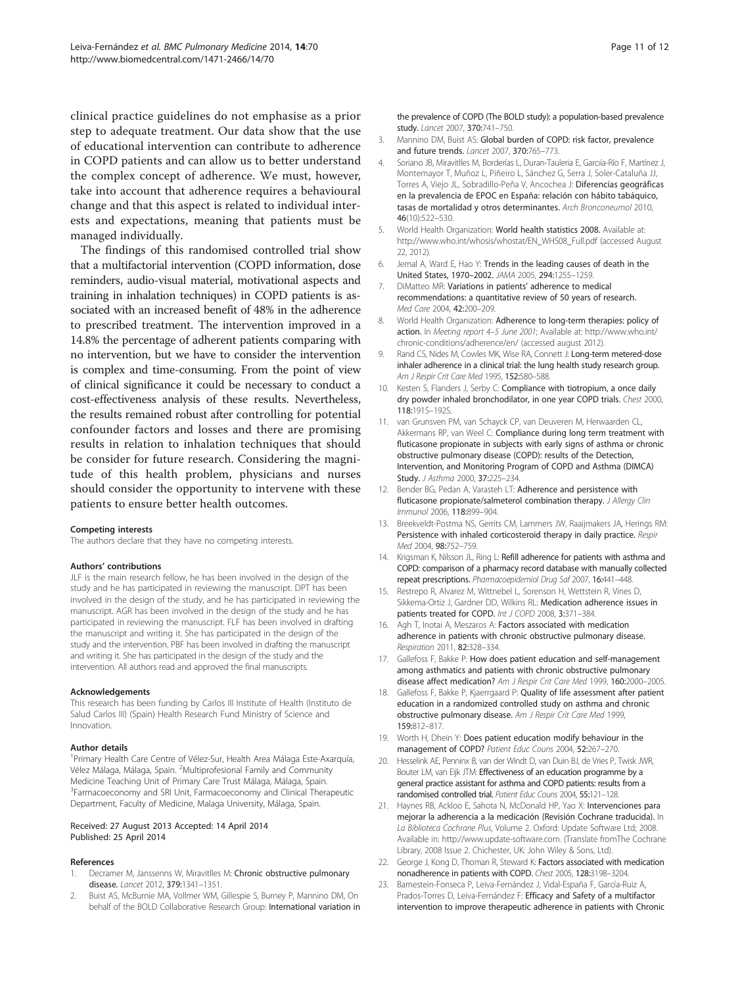<span id="page-10-0"></span>clinical practice guidelines do not emphasise as a prior step to adequate treatment. Our data show that the use of educational intervention can contribute to adherence in COPD patients and can allow us to better understand the complex concept of adherence. We must, however, take into account that adherence requires a behavioural change and that this aspect is related to individual interests and expectations, meaning that patients must be managed individually.

The findings of this randomised controlled trial show that a multifactorial intervention (COPD information, dose reminders, audio-visual material, motivational aspects and training in inhalation techniques) in COPD patients is associated with an increased benefit of 48% in the adherence to prescribed treatment. The intervention improved in a 14.8% the percentage of adherent patients comparing with no intervention, but we have to consider the intervention is complex and time-consuming. From the point of view of clinical significance it could be necessary to conduct a cost-effectiveness analysis of these results. Nevertheless, the results remained robust after controlling for potential confounder factors and losses and there are promising results in relation to inhalation techniques that should be consider for future research. Considering the magnitude of this health problem, physicians and nurses should consider the opportunity to intervene with these patients to ensure better health outcomes.

#### Competing interests

The authors declare that they have no competing interests.

#### Authors' contributions

JLF is the main research fellow, he has been involved in the design of the study and he has participated in reviewing the manuscript. DPT has been involved in the design of the study, and he has participated in reviewing the manuscript. AGR has been involved in the design of the study and he has participated in reviewing the manuscript. FLF has been involved in drafting the manuscript and writing it. She has participated in the design of the study and the intervention. PBF has been involved in drafting the manuscript and writing it. She has participated in the design of the study and the intervention. All authors read and approved the final manuscripts.

#### Acknowledgements

This research has been funding by Carlos III Institute of Health (Instituto de Salud Carlos III) (Spain) Health Research Fund Ministry of Science and Innovation.

#### Author details

<sup>1</sup> Primary Health Care Centre of Vélez-Sur, Health Area Málaga Este-Axarquía, Vélez Málaga, Málaga, Spain. <sup>2</sup>Multiprofesional Family and Community Medicine Teaching Unit of Primary Care Trust Málaga, Málaga, Spain. <sup>3</sup>Farmacoeconomy and SRI Unit, Farmacoeconomy and Clinical Therapeutic Department, Faculty of Medicine, Malaga University, Málaga, Spain.

#### Received: 27 August 2013 Accepted: 14 April 2014 Published: 25 April 2014

#### References

- 1. Decramer M, Janssenns W, Miravitlles M: Chronic obstructive pulmonary disease. Lancet 2012, 379:1341-1351.
- 2. Buist AS, McBurnie MA, Vollmer WM, Gillespie S, Burney P, Mannino DM, On behalf of the BOLD Collaborative Research Group: International variation in

the prevalence of COPD (The BOLD study): a population-based prevalence study. Lancet 2007, 370:741–750.

- 3. Mannino DM, Buist AS: Global burden of COPD: risk factor, prevalence and future trends. Lancet 2007, 370:765–773.
- 4. Soriano JB, Miravitlles M, Borderías L, Duran-Tauleria E, Garcıía-Río F, Martínez J, Montemayor T, Muñoz L, Piñeiro L, Sánchez G, Serra J, Soler-Cataluña JJ, Torres A, Viejo JL, Sobradillo-Peña V, Ancochea J: Diferencias geográficas en la prevalencia de EPOC en España: relación con hábito tabáquico, tasas de mortalidad y otros determinantes. Arch Bronconeumol 2010, 46(10):522–530.
- 5. World Health Organization: World health statistics 2008. Available at: [http://www.who.int/whosis/whostat/EN\\_WHS08\\_Full.pdf](http://www.who.int/whosis/whostat/EN_WHS08_Full.pdf) (accessed August 22, 2012).
- 6. Jemal A, Ward E, Hao Y: Trends in the leading causes of death in the United States, 1970–2002. JAMA 2005, 294:1255–1259.
- 7. DiMatteo MR: Variations in patients' adherence to medical recommendations: a quantitative review of 50 years of research. Med Care 2004, 42:200–209.
- 8. World Health Organization: Adherence to long-term therapies: policy of action. In Meeting report 4–5 June 2001; Available at: [http://www.who.int/](http://www.who.int/chronic-conditions/adherence/en/) [chronic-conditions/adherence/en/](http://www.who.int/chronic-conditions/adherence/en/) (accessed august 2012).
- 9. Rand CS, Nides M, Cowles MK, Wise RA, Connett J: Long-term metered-dose inhaler adherence in a clinical trial: the lung health study research group. Am J Respir Crit Care Med 1995, 152:580-588.
- 10. Kesten S, Flanders J, Serby C: Compliance with tiotropium, a once daily dry powder inhaled bronchodilator, in one year COPD trials. Chest 2000, 118:191S–192S.
- 11. van Grunsven PM, van Schayck CP, van Deuveren M, Herwaarden CL, Akkermans RP, van Weel C: Compliance during long term treatment with fluticasone propionate in subjects with early signs of asthma or chronic obstructive pulmonary disease (COPD): results of the Detection, Intervention, and Monitoring Program of COPD and Asthma (DIMCA) Study. J Asthma 2000, 37:225–234.
- 12. Bender BG, Pedan A, Varasteh LT: Adherence and persistence with fluticasone propionate/salmeterol combination therapy. J Allergy Clin Immunol 2006, 118:899–904.
- 13. Breekveldt-Postma NS, Gerrits CM, Lammers JW, Raaijmakers JA, Herings RM: Persistence with inhaled corticosteroid therapy in daily practice. Respir Med 2004, 98:752–759.
- 14. Krigsman K, Nilsson JL, Ring L: Refill adherence for patients with asthma and COPD: comparison of a pharmacy record database with manually collected repeat prescriptions. Pharmacoepidemiol Drug Saf 2007, 16:441–448.
- 15. Restrepo R, Alvarez M, Wittnebel L, Sorenson H, Wettstein R, Vines D, Sikkema-Ortiz J, Gardner DD, Wilkins RL: Medication adherence issues in patients treated for COPD. Int J COPD 2008, 3:371-384.
- 16. Agh T, Inotai A, Meszaros A: Factors associated with medication adherence in patients with chronic obstructive pulmonary disease. Respiration 2011, 82:328–334.
- 17. Gallefoss F, Bakke P: How does patient education and self-management among asthmatics and patients with chronic obstructive pulmonary disease affect medication? Am J Respir Crit Care Med 1999, 160:2000–2005.
- 18. Gallefoss F, Bakke P, Kjaerrgaard P: Quality of life assessment after patient education in a randomized controlled study on asthma and chronic obstructive pulmonary disease. Am J Respir Crit Care Med 1999, 159:812–817.
- 19. Worth H, Dhein Y: Does patient education modify behaviour in the management of COPD? Patient Educ Couns 2004, 52:267–270.
- 20. Hesselink AE, Penninx B, van der Windt D, van Duin BJ, de Vries P, Twisk JWR, Bouter LM, van Eijk JTM: Effectiveness of an education programme by a general practice assistant for asthma and COPD patients: results from a randomised controlled trial. Patient Educ Couns 2004, 55:121–128.
- 21. Haynes RB, Ackloo E, Sahota N, McDonald HP, Yao X: Intervenciones para mejorar la adherencia a la medicación (Revisión Cochrane traducida). In La Biblioteca Cochrane Plus, Volume 2. Oxford: Update Software Ltd; 2008. Available in: [http://www.update-software.com.](http://www.update-software.com) (Translate fromThe Cochrane Library, 2008 Issue 2. Chichester, UK: John Wiley & Sons, Ltd).
- 22. George J, Kong D, Thoman R, Steward K: Factors associated with medication nonadherence in patients with COPD. Chest 2005, 128:3198–3204.
- 23. Barnestein-Fonseca P, Leiva-Fernández J, Vidal-España F, García-Ruiz A, Prados-Torres D, Leiva-Fernández F: Efficacy and Safety of a multifactor intervention to improve therapeutic adherence in patients with Chronic